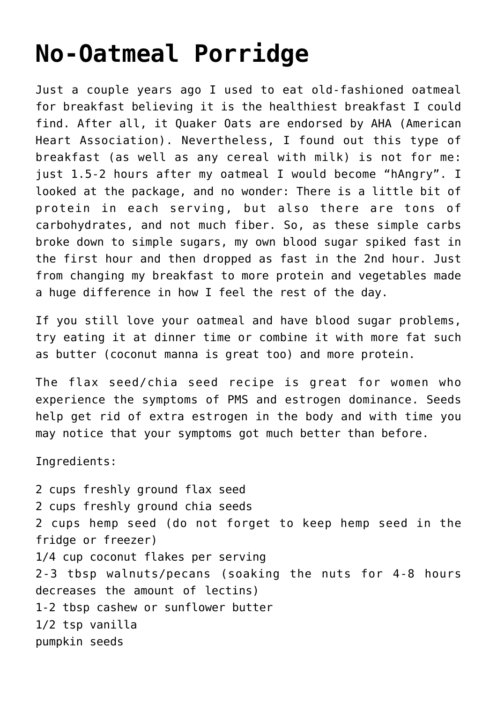## **[No-Oatmeal Porridge](https://sproutshealth.com/no-oatmeal-porridge/)**

Just a couple years ago I used to eat old-fashioned oatmeal for breakfast believing it is the healthiest breakfast I could find. After all, it Quaker Oats are endorsed by AHA (American Heart Association). Nevertheless, I found out this type of breakfast (as well as any cereal with milk) is not for me: just 1.5-2 hours after my oatmeal I would become "hAngry". I looked at the package, and no wonder: There is a little bit of protein in each serving, but also there are tons of carbohydrates, and not much fiber. So, as these simple carbs broke down to simple sugars, my own blood sugar spiked fast in the first hour and then dropped as fast in the 2nd hour. Just from changing my breakfast to more protein and vegetables made a huge difference in how I feel the rest of the day.

If you still love your oatmeal and have blood sugar problems, try eating it at dinner time or combine it with more fat such as butter (coconut manna is great too) and more protein.

The flax seed/chia seed recipe is great for women who experience the symptoms of PMS and estrogen dominance. Seeds help get rid of extra estrogen in the body and with time you may notice that your symptoms got much better than before.

Ingredients:

2 cups freshly ground flax seed 2 cups freshly ground chia seeds 2 cups hemp seed (do not forget to keep hemp seed in the fridge or freezer) 1/4 cup coconut flakes per serving 2-3 tbsp walnuts/pecans (soaking the nuts for 4-8 hours decreases the amount of lectins) 1-2 tbsp cashew or sunflower butter 1/2 tsp vanilla pumpkin seeds